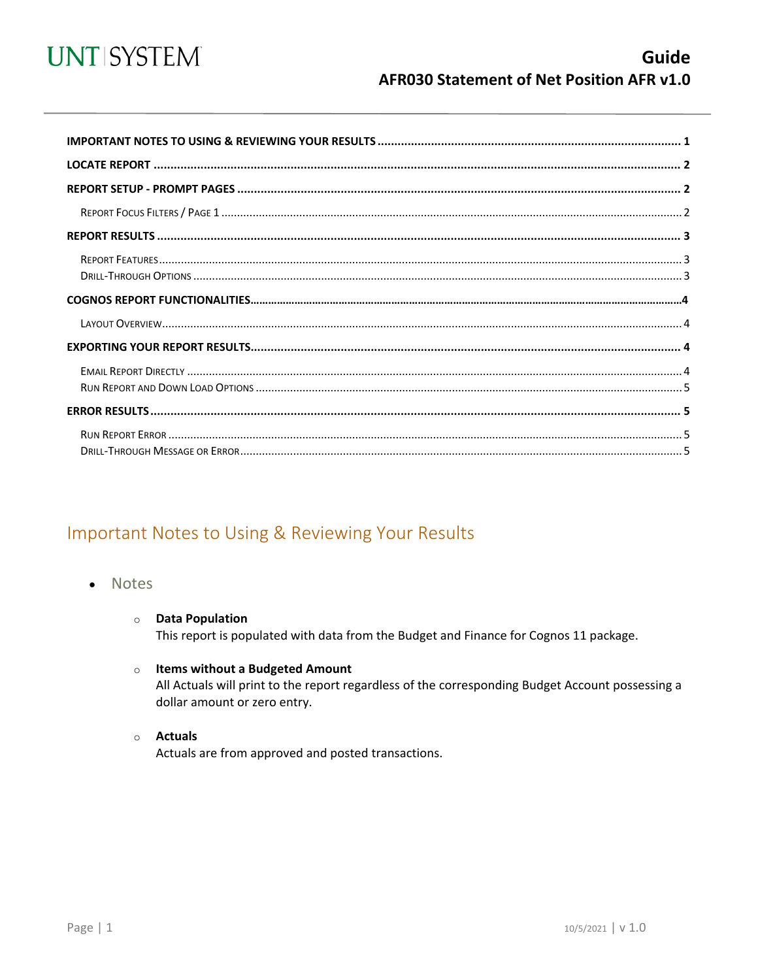

<span id="page-0-0"></span>

## Important Notes to Using & Reviewing Your Results

- Notes
	- **O** Data Population This report is populated with data from the Budget and Finance for Cognos 11 package.
	- $\circ$  Items without a Budgeted Amount All Actuals will print to the report regardless of the corresponding Budget Account possessing a dollar amount or zero entry.
	- $\circ$  Actuals

Actuals are from approved and posted transactions.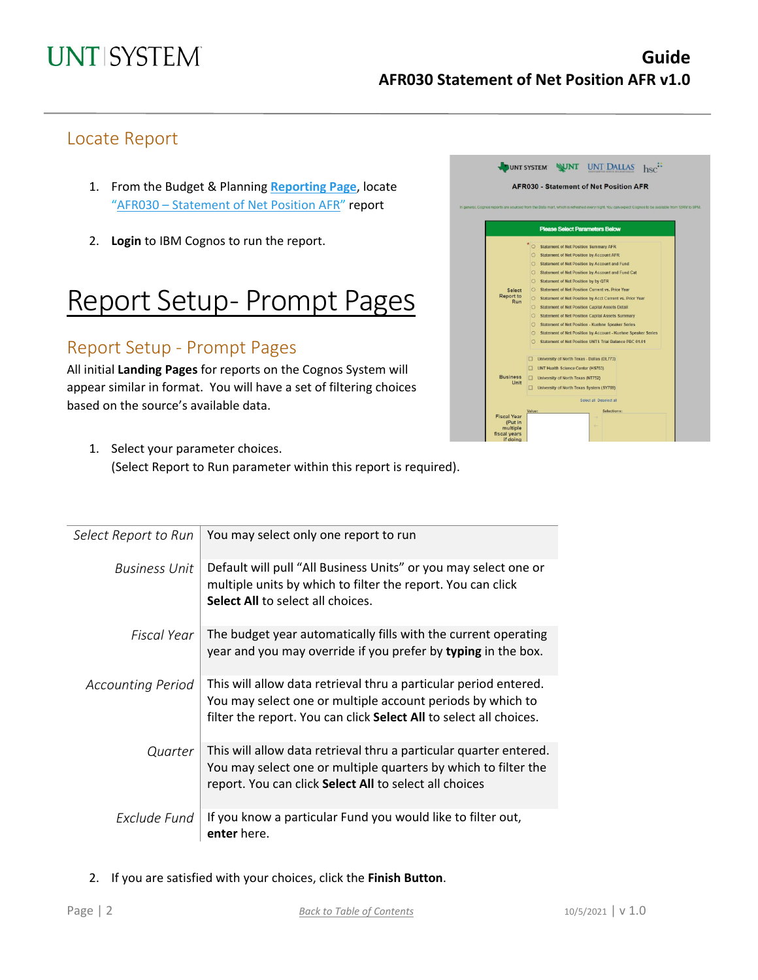### Locate Report

- 1. From the Budget & Planning **[Reporting Page](https://finance.untsystem.edu/reporting)**, locate "AFR030 – [Statement of Net Position](https://cognospd.admin.unt.edu/bi/?pathRef=.public_folders%2FAFR%2BReports%2FAFR030%2B-%2BStatement%2Bof%2BNet%2BPosition%2BAFR) AFR" report
- 2. **Login** to IBM Cognos to run the report.

## Report Setup- Prompt Pages

## Report Setup - Prompt Pages

All initial **Landing Pages** for reports on the Cognos System will appear similar in format. You will have a set of filtering choices based on the source's available data.



1. Select your parameter choices. (Select Report to Run parameter within this report is required).

| Select Report to Run     | You may select only one report to run                                                                                                                                                                |
|--------------------------|------------------------------------------------------------------------------------------------------------------------------------------------------------------------------------------------------|
| <b>Business Unit</b>     | Default will pull "All Business Units" or you may select one or<br>multiple units by which to filter the report. You can click<br><b>Select All to select all choices.</b>                           |
| Fiscal Year              | The budget year automatically fills with the current operating<br>year and you may override if you prefer by typing in the box.                                                                      |
| <b>Accounting Period</b> | This will allow data retrieval thru a particular period entered.<br>You may select one or multiple account periods by which to<br>filter the report. You can click Select All to select all choices. |
| Quarter                  | This will allow data retrieval thru a particular quarter entered.<br>You may select one or multiple quarters by which to filter the<br>report. You can click Select All to select all choices        |
| Exclude Fund             | If you know a particular Fund you would like to filter out,<br>enter here.                                                                                                                           |

2. If you are satisfied with your choices, click the **Finish Button**.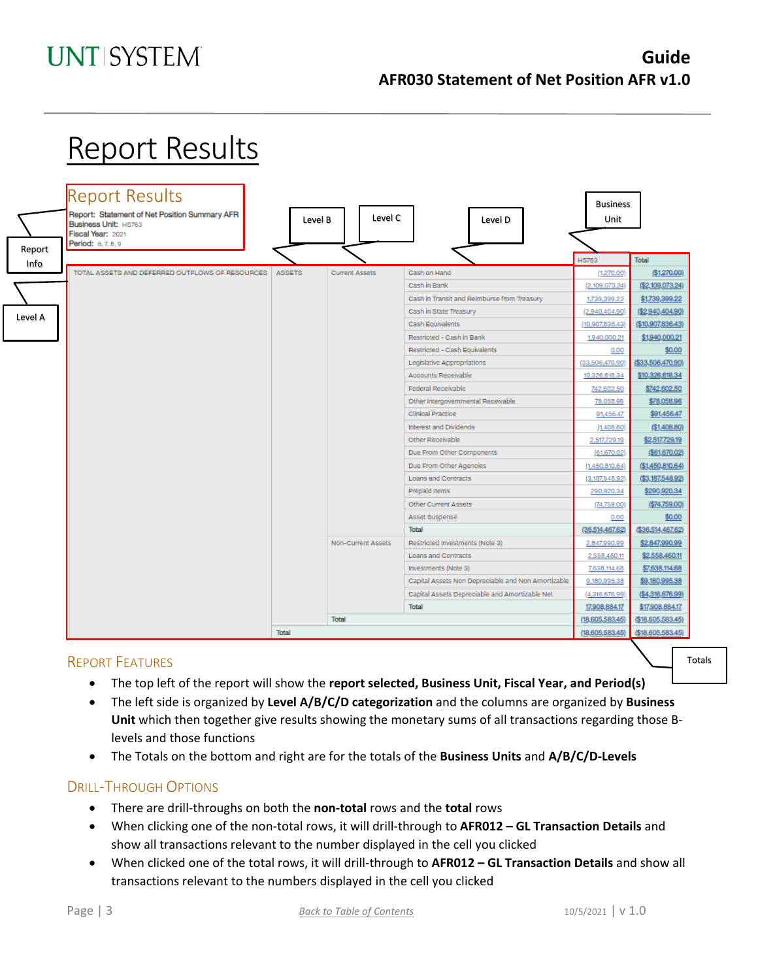## **UNT SYSTEM**

## **Guide AFR030 Statement of Net Position AFR v1.0**

# **Report Results**



### REPORT FEATURES

Totals

- The top left of the report will show the **report selected, Business Unit, Fiscal Year, and Period(s)**
- The left side is organized by **Level A/B/C/D categorization** and the columns are organized by **Business Unit** which then together give results showing the monetary sums of all transactions regarding those Blevels and those functions
- The Totals on the bottom and right are for the totals of the **Business Units** and **A/B/C/D-Levels**

### DRILL-THROUGH OPTIONS

- There are drill-throughs on both the **non-total** rows and the **total** rows
- When clicking one of the non-total rows, it will drill-through to **AFR012 – GL Transaction Details** and show all transactions relevant to the number displayed in the cell you clicked
- When clicked one of the total rows, it will drill-through to **AFR012 – GL Transaction Details** and show all transactions relevant to the numbers displayed in the cell you clicked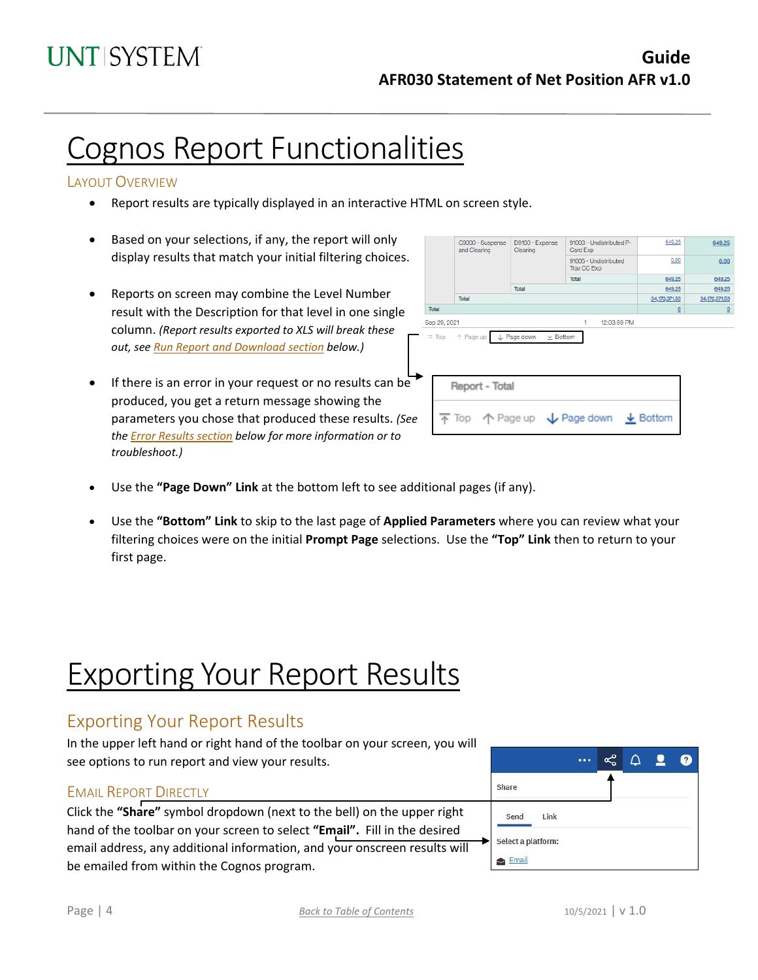## Cognos Report Functionalities

#### LAYOUT OVERVIEW

- Report results are typically displayed in an interactive HTML on screen style.
- Based on your selections, if any, the report will only display results that match your initial filtering choices.
- Reports on screen may combine the Level Number result with the Description for that level in one single column. *(Report results exported to XLS will break these out, see Run Report and Download section below.)*
- If there is an error in your request or no results can be produced, you get a return message showing the parameters you chose that produced these results. *(See th[e Error Results section](#page-4-0) below for more information or to troubleshoot.)*

| C9000 - Suspense<br>and Clearing                                                        | D9100 - Expense<br>Clearing | 91003 - Undistributed P-<br>Card Exp | 649.25        | 649.25          |
|-----------------------------------------------------------------------------------------|-----------------------------|--------------------------------------|---------------|-----------------|
|                                                                                         |                             | 91005 - Undistributed<br>Trav CC Exp | 0.00          | 0.00            |
|                                                                                         |                             | <b>Total</b>                         | 649.25        | 649.25          |
|                                                                                         | Total                       |                                      | 649.25        | 649.25          |
| Total                                                                                   |                             |                                      | 34,170,371.53 | 34,170,371.53   |
| Total                                                                                   |                             |                                      | $\Omega$      | $\underline{0}$ |
| Sep 29, 2021                                                                            |                             | 12:03:59 PM<br>1                     |               |                 |
| <b>Report - Total</b>                                                                   |                             |                                      |               |                 |
| $\overline{\uparrow}$ Top $\uparrow$ Page up $\downarrow$ Page down $\downarrow$ Bottom |                             |                                      |               |                 |
|                                                                                         |                             |                                      |               |                 |

- Use the **"Page Down" Link** at the bottom left to see additional pages (if any).
- Use the **"Bottom" Link** to skip to the last page of **Applied Parameters** where you can review what your filtering choices were on the initial **Prompt Page** selections. Use the **"Top" Link** then to return to your first page.

# Exporting Your Report Results

## Exporting Your Report Results

In the upper left hand or right hand of the toolbar on your screen, you will see options to run report and view your results.

#### EMAIL REPORT DIRECTLY

Click the **"Share"** symbol dropdown (next to the bell) on the upper right hand of the toolbar on your screen to select **"Email".** Fill in the desired email address, any additional information, and your onscreen results will be emailed from within the Cognos program.

|                    |      |  | ∩ | $\bullet$ | 0 |
|--------------------|------|--|---|-----------|---|
| Share              |      |  |   |           |   |
| Send               | Link |  |   |           |   |
| Select a platform: |      |  |   |           |   |
| Email              |      |  |   |           |   |